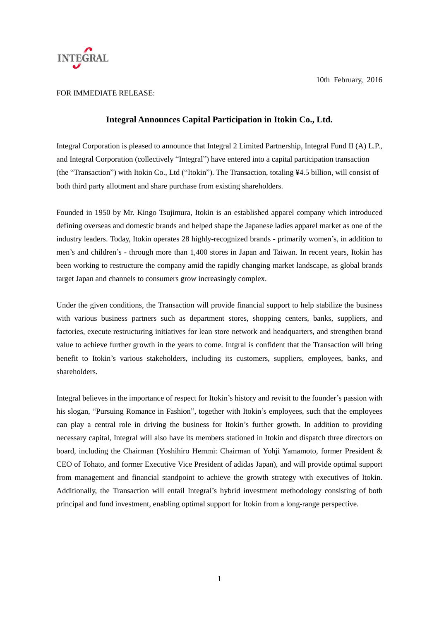

10th February, 2016

## FOR IMMEDIATE RELEASE:

## **Integral Announces Capital Participation in Itokin Co., Ltd.**

Integral Corporation is pleased to announce that Integral 2 Limited Partnership, Integral Fund II (A) L.P., and Integral Corporation (collectively "Integral") have entered into a capital participation transaction (the "Transaction") with Itokin Co., Ltd ("Itokin"). The Transaction, totaling ¥4.5 billion, will consist of both third party allotment and share purchase from existing shareholders.

Founded in 1950 by Mr. Kingo Tsujimura, Itokin is an established apparel company which introduced defining overseas and domestic brands and helped shape the Japanese ladies apparel market as one of the industry leaders. Today, Itokin operates 28 highly-recognized brands - primarily women's, in addition to men's and children's - through more than 1,400 stores in Japan and Taiwan. In recent years, Itokin has been working to restructure the company amid the rapidly changing market landscape, as global brands target Japan and channels to consumers grow increasingly complex.

Under the given conditions, the Transaction will provide financial support to help stabilize the business with various business partners such as department stores, shopping centers, banks, suppliers, and factories, execute restructuring initiatives for lean store network and headquarters, and strengthen brand value to achieve further growth in the years to come. Intgral is confident that the Transaction will bring benefit to Itokin's various stakeholders, including its customers, suppliers, employees, banks, and shareholders.

Integral believes in the importance of respect for Itokin's history and revisit to the founder's passion with his slogan, "Pursuing Romance in Fashion", together with Itokin's employees, such that the employees can play a central role in driving the business for Itokin's further growth. In addition to providing necessary capital, Integral will also have its members stationed in Itokin and dispatch three directors on board, including the Chairman (Yoshihiro Hemmi: Chairman of Yohji Yamamoto, former President & CEO of Tohato, and former Executive Vice President of adidas Japan), and will provide optimal support from management and financial standpoint to achieve the growth strategy with executives of Itokin. Additionally, the Transaction will entail Integral's hybrid investment methodology consisting of both principal and fund investment, enabling optimal support for Itokin from a long-range perspective.